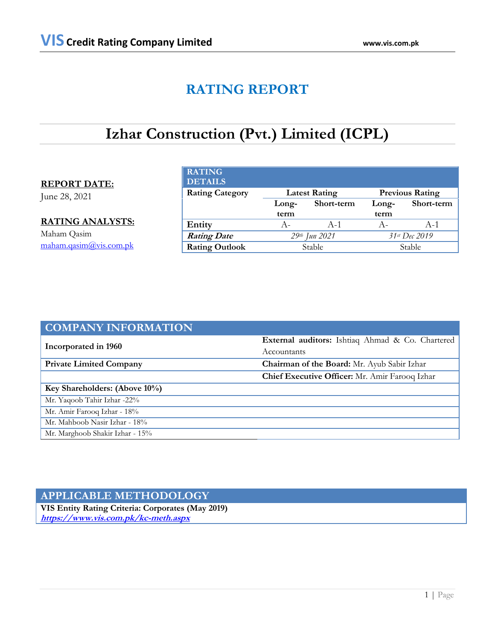# **RATING REPORT**

# **Izhar Construction (Pvt.) Limited (ICPL)**

# **REPORT DATE:**

June 28, 2021

**RATING ANALYSTS:** Maham Qasim [maham.qasim@vis.com.pk](mailto:maham.qasim@vis.com.pk)

| <b>RATING</b><br><b>DETAILS</b> |       |                      |       |                        |
|---------------------------------|-------|----------------------|-------|------------------------|
| <b>Rating Category</b>          |       | <b>Latest Rating</b> |       | <b>Previous Rating</b> |
|                                 | Long- | Short-term           | Long- | Short-term             |
|                                 |       |                      |       |                        |
|                                 | term  |                      | term  |                        |
| Entity                          | А-    | $A-1$                | $A -$ | $A-1$                  |
| <b>Rating Date</b>              |       | 29th Jun 2021        |       | 31st Dec 2019          |

| <b>COMPANY INFORMATION</b>      |                                                  |
|---------------------------------|--------------------------------------------------|
|                                 | External auditors: Ishtiaq Ahmad & Co. Chartered |
| Incorporated in 1960            | Accountants                                      |
| <b>Private Limited Company</b>  | Chairman of the Board: Mr. Ayub Sabir Izhar      |
|                                 | Chief Executive Officer: Mr. Amir Farooq Izhar   |
| Key Shareholders: (Above 10%)   |                                                  |
| Mr. Yaqoob Tahir Izhar -22%     |                                                  |
| Mr. Amir Farooq Izhar - 18%     |                                                  |
| Mr. Mahboob Nasir Izhar - 18%   |                                                  |
| Mr. Marghoob Shakir Izhar - 15% |                                                  |

# **APPLICABLE METHODOLOGY**

**VIS Entity Rating Criteria: Corporates (May 2019) <https://www.vis.com.pk/kc-meth.aspx>**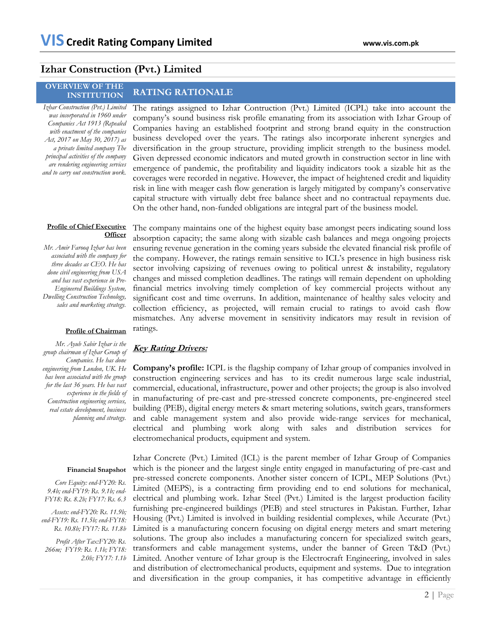# **Izhar Construction (Pvt.) Limited**

## **OVERVIEW OF THE INSTITUTION RATING RATIONALE**

*Izhar Construction (Pvt.) Limited was incorporated in 1960 under Companies Act 1913 (Repealed with enactment of the companies Act, 2017 on May 30, 2017) as a private limited company The principal activities of the company are rendering engineering services and to carry out construction work.*

The ratings assigned to Izhar Contruction (Pvt.) Limited (ICPL) take into account the company's sound business risk profile emanating from its association with Izhar Group of Companies having an established footprint and strong brand equity in the construction business developed over the years. The ratings also incorporate inherent synergies and diversification in the group structure, providing implicit strength to the business model. Given depressed economic indicators and muted growth in construction sector in line with emergence of pandemic, the profitability and liquidity indicators took a sizable hit as the coverages were recorded in negative. However, the impact of heightened credit and liquidity risk in line with meager cash flow generation is largely mitigated by company's conservative capital structure with virtually debt free balance sheet and no contractual repayments due. On the other hand, non-funded obligations are integral part of the business model.

## **Profile of Chief Executive Officer**

*Mr. Amir Farooq Izhar has been associated with the company for three decades as CEO. He has done civil engineering from USA and has vast experience in Pre-Engineered Buildings System, Dwelling Construction Technology, sales and marketing strategy.*

## **Profile of Chairman**

*Mr. Ayub Sabir Izhar is the group chairman of Izhar Group of Companies. He has done engineering from London, UK. He has been associated with the group for the last 36 years. He has vast experience in the fields of Construction engineering services, real estate development, business planning and strategy.* 

## **Financial Snapshot**

*Core Equity: end-FY20: Rs. 9.4b; end-FY19: Rs. 9.1b; end-FY18: Rs. 8.2b; FY17: Rs. 6.3*

*Assets: end-FY20: Rs. 11.9b; end-FY19: Rs. 11.5b; end-FY18: Rs. 10.8b; FY17: Rs. 11.8b*

*Profit After Tax:FY20: Rs. 266m; FY19: Rs. 1.1b; FY18: 2.0b; FY17: 1.1b* The company maintains one of the highest equity base amongst peers indicating sound loss absorption capacity; the same along with sizable cash balances and mega ongoing projects ensuring revenue generation in the coming years subside the elevated financial risk profile of the company. However, the ratings remain sensitive to ICL's presence in high business risk sector involving capsizing of revenues owing to political unrest & instability, regulatory changes and missed completion deadlines. The ratings will remain dependent on upholding financial metrics involving timely completion of key commercial projects without any significant cost and time overruns. In addition, maintenance of healthy sales velocity and collection efficiency, as projected, will remain crucial to ratings to avoid cash flow mismatches. Any adverse movement in sensitivity indicators may result in revision of ratings.

## **Key Rating Drivers:**

**Company's profile:** ICPL is the flagship company of Izhar group of companies involved in construction engineering services and has to its credit numerous large scale industrial, commercial, educational, infrastructure, power and other projects; the group is also involved in manufacturing of pre-cast and pre-stressed concrete components, pre-engineered steel building (PEB), digital energy meters & smart metering solutions, switch gears, transformers and cable management system and also provide wide-range services for mechanical, electrical and plumbing work along with sales and distribution services for electromechanical products, equipment and system.

Izhar Concrete (Pvt.) Limited (ICL) is the parent member of Izhar Group of Companies which is the pioneer and the largest single entity engaged in manufacturing of pre-cast and pre-stressed concrete components. Another sister concern of ICPL, MEP Solutions (Pvt.) Limited (MEPS), is a contracting firm providing end to end solutions for mechanical, electrical and plumbing work. Izhar Steel (Pvt.) Limited is the largest production facility furnishing pre-engineered buildings (PEB) and steel structures in Pakistan. Further, Izhar Housing (Pvt.) Limited is involved in building residential complexes, while Accurate (Pvt.) Limited is a manufacturing concern focusing on digital energy meters and smart metering solutions. The group also includes a manufacturing concern for specialized switch gears, transformers and cable management systems, under the banner of Green T&D (Pvt.) Limited. Another venture of Izhar group is the Electrocraft Engineering, involved in sales and distribution of electromechanical products, equipment and systems. Due to integration and diversification in the group companies, it has competitive advantage in efficiently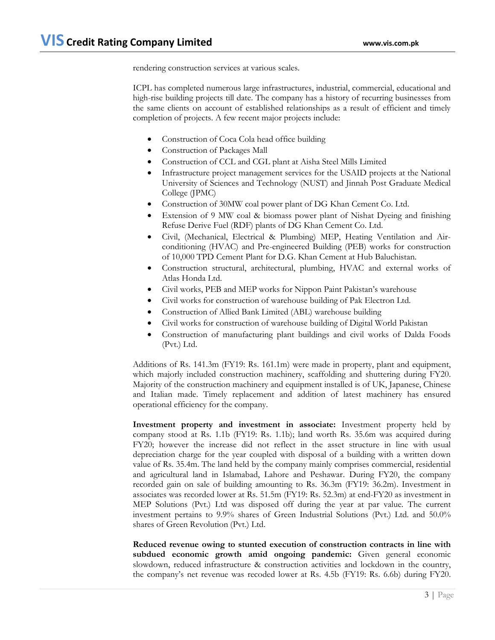rendering construction services at various scales.

ICPL has completed numerous large infrastructures, industrial, commercial, educational and high-rise building projects till date. The company has a history of recurring businesses from the same clients on account of established relationships as a result of efficient and timely completion of projects. A few recent major projects include:

- Construction of Coca Cola head office building
- Construction of Packages Mall
- Construction of CCL and CGL plant at Aisha Steel Mills Limited
- Infrastructure project management services for the USAID projects at the National University of Sciences and Technology (NUST) and Jinnah Post Graduate Medical College (JPMC)
- Construction of 30MW coal power plant of DG Khan Cement Co. Ltd.
- Extension of 9 MW coal & biomass power plant of Nishat Dyeing and finishing Refuse Derive Fuel (RDF) plants of DG Khan Cement Co. Ltd.
- Civil, (Mechanical, Electrical & Plumbing) MEP, Heating Ventilation and Airconditioning (HVAC) and Pre-engineered Building (PEB) works for construction of 10,000 TPD Cement Plant for D.G. Khan Cement at Hub Baluchistan.
- Construction structural, architectural, plumbing, HVAC and external works of Atlas Honda Ltd.
- Civil works, PEB and MEP works for Nippon Paint Pakistan's warehouse
- Civil works for construction of warehouse building of Pak Electron Ltd.
- Construction of Allied Bank Limited (ABL) warehouse building
- Civil works for construction of warehouse building of Digital World Pakistan
- Construction of manufacturing plant buildings and civil works of Dalda Foods (Pvt.) Ltd.

Additions of Rs. 141.3m (FY19: Rs. 161.1m) were made in property, plant and equipment, which majorly included construction machinery, scaffolding and shuttering during FY20. Majority of the construction machinery and equipment installed is of UK, Japanese, Chinese and Italian made. Timely replacement and addition of latest machinery has ensured operational efficiency for the company.

**Investment property and investment in associate:** Investment property held by company stood at Rs. 1.1b (FY19: Rs. 1.1b); land worth Rs. 35.6m was acquired during FY20; however the increase did not reflect in the asset structure in line with usual depreciation charge for the year coupled with disposal of a building with a written down value of Rs. 35.4m. The land held by the company mainly comprises commercial, residential and agricultural land in Islamabad, Lahore and Peshawar. During FY20, the company recorded gain on sale of building amounting to Rs. 36.3m (FY19: 36.2m). Investment in associates was recorded lower at Rs. 51.5m (FY19: Rs. 52.3m) at end-FY20 as investment in MEP Solutions (Pvt.) Ltd was disposed off during the year at par value. The current investment pertains to 9.9% shares of Green Industrial Solutions (Pvt.) Ltd. and 50.0% shares of Green Revolution (Pvt.) Ltd.

**Reduced revenue owing to stunted execution of construction contracts in line with subdued economic growth amid ongoing pandemic:** Given general economic slowdown, reduced infrastructure & construction activities and lockdown in the country, the company's net revenue was recoded lower at Rs. 4.5b (FY19: Rs. 6.6b) during FY20.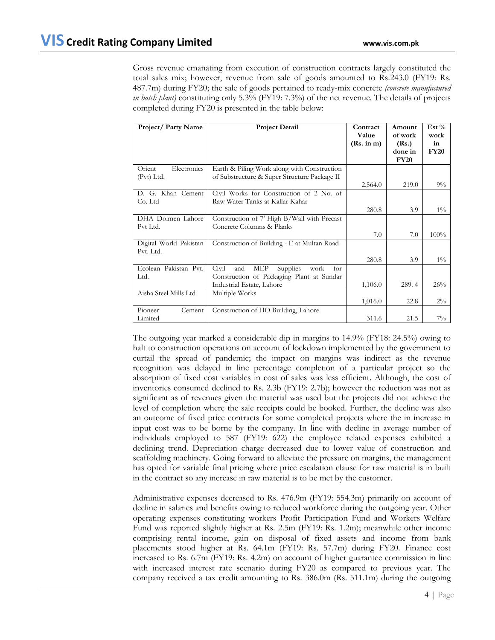Gross revenue emanating from execution of construction contracts largely constituted the total sales mix; however, revenue from sale of goods amounted to Rs.243.0 (FY19: Rs. 487.7m) during FY20; the sale of goods pertained to ready-mix concrete *(concrete manufactured in batch plant)* constituting only 5.3% (FY19: 7.3%) of the net revenue. The details of projects completed during FY20 is presented in the table below:

| Project/Party Name                  | <b>Project Detail</b>                                                                                                                  | Contract<br>Value<br>(Rs. in m) | Amount<br>of work<br>(Rs.)<br>done in<br><b>FY20</b> | $Est\%$<br>work<br>in<br><b>FY20</b> |
|-------------------------------------|----------------------------------------------------------------------------------------------------------------------------------------|---------------------------------|------------------------------------------------------|--------------------------------------|
| Electronics<br>Orient<br>(Pvt) Ltd. | Earth & Piling Work along with Construction<br>of Substructure & Super Structure Package II                                            | 2,564.0                         | 219.0                                                | $9\%$                                |
| D. G. Khan Cement<br>Co. Ltd        | Civil Works for Construction of 2 No. of<br>Raw Water Tanks at Kallar Kahar                                                            | 280.8                           | 3.9                                                  | $1\%$                                |
| DHA Dolmen Lahore<br>Pvt Ltd.       | Construction of 7' High B/Wall with Precast<br>Concrete Columns & Planks                                                               | 7.0                             | 7.0                                                  | 100%                                 |
| Digital World Pakistan<br>Pvt. Ltd. | Construction of Building - E at Multan Road                                                                                            | 280.8                           | 3.9                                                  | $1\%$                                |
| Ecolean Pakistan Pvt.<br>Ltd.       | Civil<br>and<br><b>Supplies</b><br><b>MEP</b><br>work<br>for<br>Construction of Packaging Plant at Sundar<br>Industrial Estate, Lahore | 1,106.0                         | 289.4                                                | 26%                                  |
| Aisha Steel Mills Ltd               | Multiple Works                                                                                                                         | 1,016.0                         | 22.8                                                 | $2\%$                                |
| Pioneer<br>Cement<br>Limited        | Construction of HO Building, Lahore                                                                                                    | 311.6                           | 21.5                                                 | $7\%$                                |

The outgoing year marked a considerable dip in margins to 14.9% (FY18: 24.5%) owing to halt to construction operations on account of lockdown implemented by the government to curtail the spread of pandemic; the impact on margins was indirect as the revenue recognition was delayed in line percentage completion of a particular project so the absorption of fixed cost variables in cost of sales was less efficient. Although, the cost of inventories consumed declined to Rs. 2.3b (FY19: 2.7b); however the reduction was not as significant as of revenues given the material was used but the projects did not achieve the level of completion where the sale receipts could be booked. Further, the decline was also an outcome of fixed price contracts for some completed projects where the in increase in input cost was to be borne by the company. In line with decline in average number of individuals employed to 587 (FY19: 622) the employee related expenses exhibited a declining trend. Depreciation charge decreased due to lower value of construction and scaffolding machinery. Going forward to alleviate the pressure on margins, the management has opted for variable final pricing where price escalation clause for raw material is in built in the contract so any increase in raw material is to be met by the customer.

Administrative expenses decreased to Rs. 476.9m (FY19: 554.3m) primarily on account of decline in salaries and benefits owing to reduced workforce during the outgoing year. Other operating expenses constituting workers Profit Participation Fund and Workers Welfare Fund was reported slightly higher at Rs. 2.5m (FY19: Rs. 1.2m); meanwhile other income comprising rental income, gain on disposal of fixed assets and income from bank placements stood higher at Rs. 64.1m (FY19: Rs. 57.7m) during FY20. Finance cost increased to Rs. 6.7m (FY19: Rs. 4.2m) on account of higher guarantee commission in line with increased interest rate scenario during FY20 as compared to previous year. The company received a tax credit amounting to Rs. 386.0m (Rs. 511.1m) during the outgoing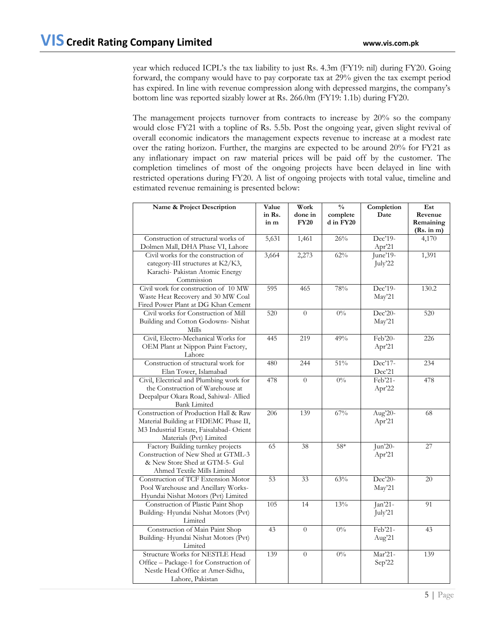year which reduced ICPL's the tax liability to just Rs. 4.3m (FY19: nil) during FY20. Going forward, the company would have to pay corporate tax at 29% given the tax exempt period has expired. In line with revenue compression along with depressed margins, the company's bottom line was reported sizably lower at Rs. 266.0m (FY19: 1.1b) during FY20.

The management projects turnover from contracts to increase by 20% so the company would close FY21 with a topline of Rs. 5.5b. Post the ongoing year, given slight revival of overall economic indicators the management expects revenue to increase at a modest rate over the rating horizon. Further, the margins are expected to be around 20% for FY21 as any inflationary impact on raw material prices will be paid off by the customer. The completion timelines of most of the ongoing projects have been delayed in line with restricted operations during FY20. A list of ongoing projects with total value, timeline and estimated revenue remaining is presented below:

| Name & Project Description                                                  | Value  | Work           | $\frac{0}{0}$ | Completion | Est                     |
|-----------------------------------------------------------------------------|--------|----------------|---------------|------------|-------------------------|
|                                                                             | in Rs. | done in        | complete      | Date       | Revenue                 |
|                                                                             | in m   | <b>FY20</b>    | d in FY20     |            | Remaining<br>(Rs. in m) |
| Construction of structural works of                                         | 5,631  | 1,461          | 26%           | Dec'19-    | 4,170                   |
| Dolmen Mall, DHA Phase VI, Lahore                                           |        |                |               | Apr'21     |                         |
| Civil works for the construction of                                         | 3,664  | 2,273          | 62%           | June'19-   | 1,391                   |
| category-III structures at K2/K3,                                           |        |                |               | July'22    |                         |
| Karachi- Pakistan Atomic Energy                                             |        |                |               |            |                         |
| Commission                                                                  |        |                |               |            |                         |
| Civil work for construction of 10 MW                                        | 595    | 465            | 78%           | Dec'19-    | 130.2                   |
| Waste Heat Recovery and 30 MW Coal<br>Fired Power Plant at DG Khan Cement   |        |                |               | May'21     |                         |
| Civil works for Construction of Mill                                        | 520    | $\theta$       | $0\%$         | Dec'20-    | 520                     |
| Building and Cotton Godowns- Nishat                                         |        |                |               | May'21     |                         |
| Mills                                                                       |        |                |               |            |                         |
| Civil, Electro-Mechanical Works for                                         | 445    | 219            | 49%           | Feb'20-    | 226                     |
| OEM Plant at Nippon Paint Factory,                                          |        |                |               | Apr'21     |                         |
| Lahore                                                                      |        |                |               |            |                         |
| Construction of structural work for                                         | 480    | 244            | 51%           | Dec'17-    | 234                     |
| Elan Tower, Islamabad                                                       |        |                |               | Dec'21     |                         |
| Civil, Electrical and Plumbing work for                                     | 478    | $\theta$       | $0\%$         | Feb'21-    | 478                     |
| the Construction of Warehouse at<br>Deepalpur Okara Road, Sahiwal- Allied   |        |                |               | Apr'22     |                         |
| <b>Bank Limited</b>                                                         |        |                |               |            |                         |
| Construction of Production Hall & Raw                                       | 206    | 139            | 67%           | Aug'20-    | 68                      |
| Material Building at FIDEMC Phase II,                                       |        |                |               | Apr'21     |                         |
| M3 Industrial Estate, Faisalabad- Orient                                    |        |                |               |            |                         |
| Materials (Pvt) Limited                                                     |        |                |               |            |                         |
| Factory Building turnkey projects                                           | 65     | 38             | 58*           | Jun'20-    | 27                      |
| Construction of New Shed at GTML-3                                          |        |                |               | Apr'21     |                         |
| & New Store Shed at GTM-5- Gul<br>Ahmed Textile Mills Limited               |        |                |               |            |                         |
| Construction of TCF Extension Motor                                         | 53     | 33             | 63%           | Dec'20-    | 20                      |
| Pool Warehouse and Ancillary Works-                                         |        |                |               | May'21     |                         |
| Hyundai Nishat Motors (Pvt) Limited                                         |        |                |               |            |                         |
| Construction of Plastic Paint Shop                                          | 105    | 14             | 13%           | Jan'21-    | 91                      |
| Building-Hyundai Nishat Motors (Pvt)                                        |        |                |               | July'21    |                         |
| Limited                                                                     |        |                |               |            |                         |
| Construction of Main Paint Shop                                             | 43     | $\overline{0}$ | $0\%$         | Feb'21-    | 43                      |
| Building-Hyundai Nishat Motors (Pvt)                                        |        |                |               | Aug'21     |                         |
| Limited                                                                     |        |                |               |            |                         |
| Structure Works for NESTLE Head                                             | 139    | $\overline{0}$ | $0\%$         | Mar'21-    | 139                     |
| Office - Package-1 for Construction of<br>Nestle Head Office at Amer-Sidhu, |        |                |               | Sep'22     |                         |
| Lahore, Pakistan                                                            |        |                |               |            |                         |
|                                                                             |        |                |               |            |                         |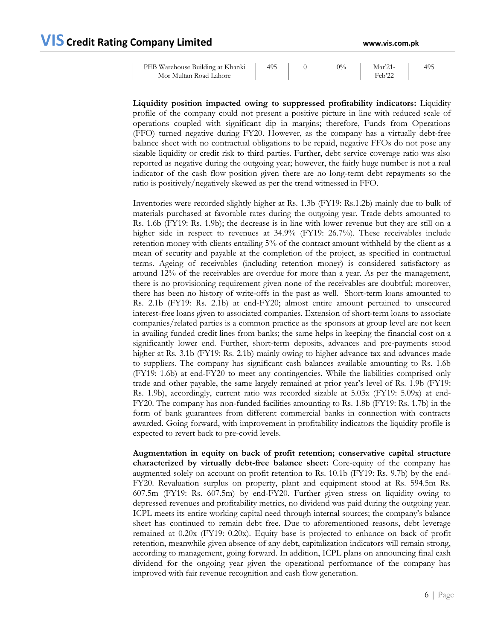| PEB Warehouse Building at Khanki | 495 | $0\%$ | Mar2 <sup>1</sup> | 495 |
|----------------------------------|-----|-------|-------------------|-----|
| Mor Multan Road Lahore           |     |       | $F_{\rm e}h$ '20  |     |

**Liquidity position impacted owing to suppressed profitability indicators:** Liquidity profile of the company could not present a positive picture in line with reduced scale of operations coupled with significant dip in margins; therefore, Funds from Operations (FFO) turned negative during FY20. However, as the company has a virtually debt-free balance sheet with no contractual obligations to be repaid, negative FFOs do not pose any sizable liquidity or credit risk to third parties. Further, debt service coverage ratio was also reported as negative during the outgoing year; however, the fairly huge number is not a real indicator of the cash flow position given there are no long-term debt repayments so the ratio is positively/negatively skewed as per the trend witnessed in FFO.

Inventories were recorded slightly higher at Rs. 1.3b (FY19: Rs.1.2b) mainly due to bulk of materials purchased at favorable rates during the outgoing year. Trade debts amounted to Rs. 1.6b (FY19: Rs. 1.9b); the decrease is in line with lower revenue but they are still on a higher side in respect to revenues at 34.9% (FY19: 26.7%). These receivables include retention money with clients entailing 5% of the contract amount withheld by the client as a mean of security and payable at the completion of the project, as specified in contractual terms. Ageing of receivables (including retention money) is considered satisfactory as around 12% of the receivables are overdue for more than a year. As per the management, there is no provisioning requirement given none of the receivables are doubtful; moreover, there has been no history of write-offs in the past as well. Short-term loans amounted to Rs. 2.1b (FY19: Rs. 2.1b) at end-FY20; almost entire amount pertained to unsecured interest-free loans given to associated companies. Extension of short-term loans to associate companies/related parties is a common practice as the sponsors at group level are not keen in availing funded credit lines from banks; the same helps in keeping the financial cost on a significantly lower end. Further, short-term deposits, advances and pre-payments stood higher at Rs. 3.1b (FY19: Rs. 2.1b) mainly owing to higher advance tax and advances made to suppliers. The company has significant cash balances available amounting to Rs. 1.6b (FY19: 1.6b) at end-FY20 to meet any contingencies. While the liabilities comprised only trade and other payable, the same largely remained at prior year's level of Rs. 1.9b (FY19: Rs. 1.9b), accordingly, current ratio was recorded sizable at 5.03x (FY19: 5.09x) at end-FY20. The company has non-funded facilities amounting to Rs. 1.8b (FY19: Rs. 1.7b) in the form of bank guarantees from different commercial banks in connection with contracts awarded. Going forward, with improvement in profitability indicators the liquidity profile is expected to revert back to pre-covid levels.

**Augmentation in equity on back of profit retention; conservative capital structure characterized by virtually debt-free balance sheet:** Core-equity of the company has augmented solely on account on profit retention to Rs. 10.1b (FY19: Rs. 9.7b) by the end-FY20. Revaluation surplus on property, plant and equipment stood at Rs. 594.5m Rs. 607.5m (FY19: Rs. 607.5m) by end-FY20. Further given stress on liquidity owing to depressed revenues and profitability metrics, no dividend was paid during the outgoing year. ICPL meets its entire working capital need through internal sources; the company's balance sheet has continued to remain debt free. Due to aforementioned reasons, debt leverage remained at 0.20x (FY19: 0.20x). Equity base is projected to enhance on back of profit retention, meanwhile given absence of any debt, capitalization indicators will remain strong, according to management, going forward. In addition, ICPL plans on announcing final cash dividend for the ongoing year given the operational performance of the company has improved with fair revenue recognition and cash flow generation.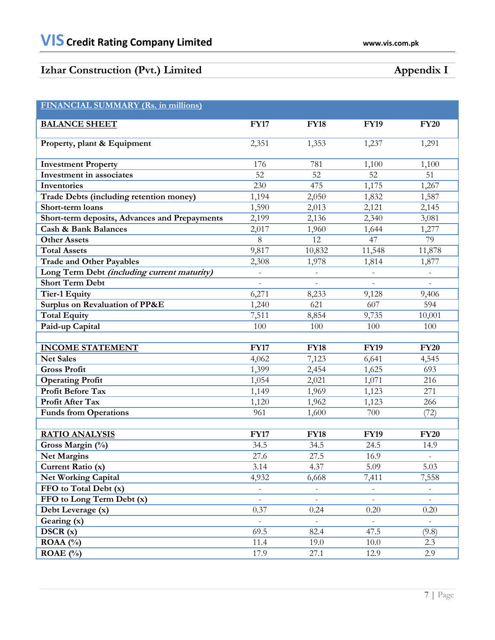# **Izhar Construction (Pvt.) Limited Appendix I**

| FINANCIAL SUMMARY (Rs. in millions)           |                          |                          |                          |                          |
|-----------------------------------------------|--------------------------|--------------------------|--------------------------|--------------------------|
|                                               |                          |                          |                          |                          |
| <b>BALANCE SHEET</b>                          | <b>FY17</b>              | <b>FY18</b>              | <b>FY19</b>              | <b>FY20</b>              |
| Property, plant & Equipment                   | 2,351                    | $1,35\overline{3}$       | 1,237                    | 1,291                    |
| <b>Investment Property</b>                    | 176                      | 781                      | 1,100                    | 1,100                    |
| Investment in associates                      | 52                       | 52                       | 52                       | 51                       |
| Inventories                                   | 230                      | 475                      | 1,175                    | 1,267                    |
| Trade Debts (including retention money)       | 1,194                    | 2,050                    | 1,832                    | 1,587                    |
| Short-term loans                              | 1,590                    | 2,013                    | 2,121                    | 2,145                    |
| Short-term deposits, Advances and Prepayments | 2,199                    | 2,136                    | 2,340                    | 3,081                    |
| <b>Cash &amp; Bank Balances</b>               | 2,017                    | 1,960                    | 1,644                    | 1,277                    |
| <b>Other Assets</b>                           | 8                        | 12                       | 47                       | 79                       |
| <b>Total Assets</b>                           | 9,817                    | 10,832                   | 11,548                   | 11,878                   |
| <b>Trade and Other Payables</b>               | 2,308                    | 1,978                    | 1,814                    | 1,877                    |
| Long Term Debt (including current maturity)   |                          |                          |                          |                          |
| <b>Short Term Debt</b>                        |                          |                          |                          |                          |
| <b>Tier-1 Equity</b>                          | 6,271                    | 8,233                    | 9,128                    | 9,406                    |
| Surplus on Revaluation of PP&E                | 1,240                    | 621                      | 607                      | 594                      |
| <b>Total Equity</b>                           | 7,511                    | 8,854                    | 9,735                    | 10,001                   |
| Paid-up Capital                               | 100                      | 100                      | 100                      | 100                      |
|                                               |                          |                          |                          |                          |
| <b>INCOME STATEMENT</b>                       | <b>FY17</b>              | <b>FY18</b>              | <b>FY19</b>              | <b>FY20</b>              |
| <b>Net Sales</b>                              | 4,062                    | 7,123                    | 6,641                    | 4,545                    |
| <b>Gross Profit</b>                           | 1,399                    | 2,454                    | 1,625                    | 693                      |
| <b>Operating Profit</b>                       | 1,054                    | 2,021                    | 1,071                    | 216                      |
| <b>Profit Before Tax</b>                      | 1,149                    | 1,969                    | 1,123                    | 271                      |
| Profit After Tax                              | 1,120                    | 1,962                    | 1,123                    | 266                      |
| <b>Funds from Operations</b>                  | 961                      | 1,600                    | 700                      | (72)                     |
|                                               |                          |                          |                          |                          |
| <b>RATIO ANALYSIS</b>                         | <b>FY17</b>              | <b>FY18</b>              | <b>FY19</b>              | <b>FY20</b>              |
| Gross Margin (%)                              | 34.5                     | 34.5                     | 24.5                     | 14.9                     |
| <b>Net Margins</b>                            | 27.6                     | 27.5                     | 16.9                     | $\qquad \qquad -$        |
| Current Ratio (x)                             | 3.14                     | 4.37                     | 5.09                     | 5.03                     |
| <b>Net Working Capital</b>                    | 4,932                    | 6,668                    | 7,411                    | 7,558                    |
| FFO to Total Debt (x)                         | $\overline{\phantom{a}}$ | $\overline{\phantom{a}}$ | $\overline{\phantom{0}}$ |                          |
| FFO to Long Term Debt (x)                     | $\overline{\phantom{0}}$ | $\overline{\phantom{0}}$ | $\overline{a}$           |                          |
| Debt Leverage (x)                             | 0.37                     | 0.24                     | 0.20                     | 0.20                     |
| Gearing (x)                                   | $\overline{\phantom{a}}$ | $\overline{\phantom{a}}$ | $\overline{\phantom{a}}$ | $\overline{\phantom{a}}$ |
| DSCR(x)                                       | 69.5                     | 82.4                     | 47.5                     | (9.8)                    |
| $ROAA(^{0}/_{0})$                             | 11.4                     | 19.0                     | 10.0                     | 2.3                      |
| ROAE $(\% )$                                  | 17.9                     | 27.1                     | 12.9                     | 2.9                      |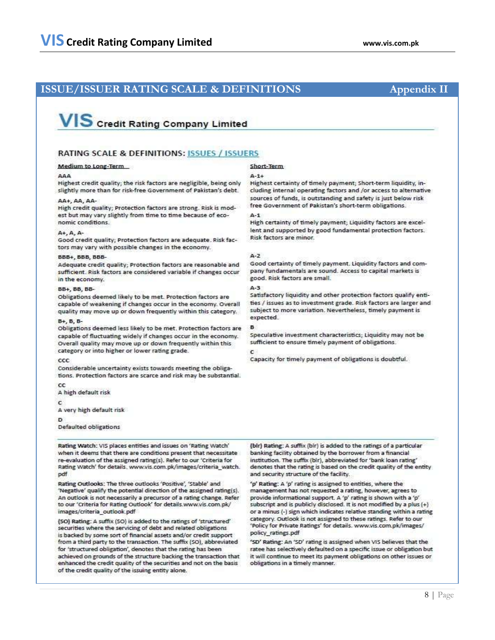# **ISSUE/ISSUER RATING SCALE & DEFINITIONS Appendix II**

# **VIS** Credit Rating Company Limited

## **RATING SCALE & DEFINITIONS: ISSUES / ISSUERS**

#### Medium to Long-Term

#### **AAA**

Highest credit quality; the risk factors are negligible, being only slightly more than for risk-free Government of Pakistan's debt.

#### AA+, AA, AA-

High credit quality; Protection factors are strong. Risk is modest but may vary slightly from time to time because of economic conditions.

#### $A+A, A$

Good credit quality; Protection factors are adequate. Risk factors may vary with possible changes in the economy.

#### BBB+ BBB BBB-

Adequate credit quality; Protection factors are reasonable and sufficient. Risk factors are considered variable if changes occur in the economy.

#### **BB+ BB BB-**

Obligations deemed likely to be met. Protection factors are capable of weakening if changes occur in the economy. Overall quality may move up or down frequently within this category.

### $B + B$ ,  $B - B$

Obligations deemed less likely to be met. Protection factors are capable of fluctuating widely if changes occur in the economy. Overall quality may move up or down frequently within this category or into higher or lower rating grade.

#### $ccc$

Considerable uncertainty exists towards meeting the obligations. Protection factors are scarce and risk may be substantial.

cc A high default risk

c

A very high default risk

D

Defaulted obligations

Rating Watch: VIS places entities and issues on 'Rating Watch' when it deems that there are conditions present that necessitate re-evaluation of the assigned rating(s). Refer to our 'Criteria for Rating Watch' for details. www.vis.com.pk/images/criteria\_watch. pdf

Rating Outlooks: The three outlooks 'Positive', 'Stable' and 'Negative' qualify the potential direction of the assigned rating(s). An outlook is not necessarily a precursor of a rating change. Refer to our 'Criteria for Rating Outlook' for details.www.vis.com.pk/ images/criteria\_outlook.pdf

(SO) Rating: A suffix (SO) is added to the ratings of 'structured' securities where the servicing of debt and related obligations is backed by some sort of financial assets and/or credit support from a third party to the transaction. The suffix (SO), abbreviated for 'structured obligation', denotes that the rating has been achieved on grounds of the structure backing the transaction that enhanced the credit quality of the securities and not on the basis of the credit quality of the issuing entity alone.

## Short-Term

#### $0 - 1 +$

Highest certainty of timely payment; Short-term liquidity, including internal operating factors and /or access to alternative sources of funds, is outstanding and safety is just below risk free Government of Pakistan's short-term obligations.

#### $A-1$

High certainty of timely payment; Liquidity factors are excellent and supported by good fundamental protection factors. Risk factors are minor.

#### $A-2$

Good certainty of timely payment. Liquidity factors and company fundamentals are sound. Access to capital markets is good, Risk factors are small.

#### 4-3

Satisfactory liquidity and other protection factors qualify entities / issues as to investment grade. Risk factors are larger and subject to more variation. Nevertheless, timely payment is expected.

B Speculative investment characteristics; Liquidity may not be sufficient to ensure timely payment of obligations.

ċ

Capacity for timely payment of obligations is doubtful.

(bir) Rating: A suffix (bir) is added to the ratings of a particular banking facility obtained by the borrower from a financial institution. The suffix (bir), abbreviated for 'bank loan rating' denotes that the rating is based on the credit quality of the entity and security structure of the facility.

'p' Rating: A 'p' rating is assigned to entities, where the management has not requested a rating, however, agrees to provide informational support. A 'p' rating is shown with a 'p' subscript and is publicly disclosed. It is not modified by a plus (+) or a minus (-) sign which indicates relative standing within a rating category. Outlook is not assigned to these ratings. Refer to our 'Policy for Private Ratings' for details. www.vis.com.pk/images/ policy ratings.pdf

'SD' Rating: An 'SD' rating is assigned when VIS believes that the ratee has selectively defaulted on a specific issue or obligation but it will continue to meet its payment obligations on other issues or obligations in a timely manner.